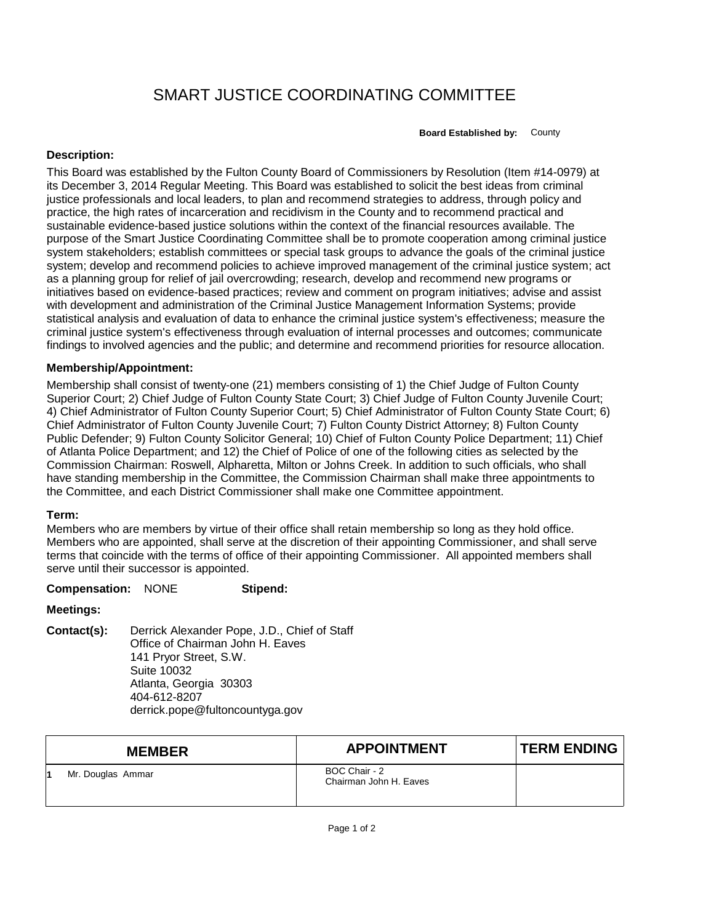# SMART JUSTICE COORDINATING COMMITTEE

**Board Established by:** County

# **Description:**

This Board was established by the Fulton County Board of Commissioners by Resolution (Item #14-0979) at its December 3, 2014 Regular Meeting. This Board was established to solicit the best ideas from criminal justice professionals and local leaders, to plan and recommend strategies to address, through policy and practice, the high rates of incarceration and recidivism in the County and to recommend practical and sustainable evidence-based justice solutions within the context of the financial resources available. The purpose of the Smart Justice Coordinating Committee shall be to promote cooperation among criminal justice system stakeholders; establish committees or special task groups to advance the goals of the criminal justice system; develop and recommend policies to achieve improved management of the criminal justice system; act as a planning group for relief of jail overcrowding; research, develop and recommend new programs or initiatives based on evidence-based practices; review and comment on program initiatives; advise and assist with development and administration of the Criminal Justice Management Information Systems; provide statistical analysis and evaluation of data to enhance the criminal justice system's effectiveness; measure the criminal justice system's effectiveness through evaluation of internal processes and outcomes; communicate findings to involved agencies and the public; and determine and recommend priorities for resource allocation.

# **Membership/Appointment:**

Membership shall consist of twenty-one (21) members consisting of 1) the Chief Judge of Fulton County Superior Court; 2) Chief Judge of Fulton County State Court; 3) Chief Judge of Fulton County Juvenile Court; 4) Chief Administrator of Fulton County Superior Court; 5) Chief Administrator of Fulton County State Court; 6) Chief Administrator of Fulton County Juvenile Court; 7) Fulton County District Attorney; 8) Fulton County Public Defender; 9) Fulton County Solicitor General; 10) Chief of Fulton County Police Department; 11) Chief of Atlanta Police Department; and 12) the Chief of Police of one of the following cities as selected by the Commission Chairman: Roswell, Alpharetta, Milton or Johns Creek. In addition to such officials, who shall have standing membership in the Committee, the Commission Chairman shall make three appointments to the Committee, and each District Commissioner shall make one Committee appointment.

### **Term:**

Members who are members by virtue of their office shall retain membership so long as they hold office. Members who are appointed, shall serve at the discretion of their appointing Commissioner, and shall serve terms that coincide with the terms of office of their appointing Commissioner. All appointed members shall serve until their successor is appointed.

#### **Compensation:** NONE **Stipend:**

### **Meetings:**

**Contact(s):** Derrick Alexander Pope, J.D., Chief of Staff Office of Chairman John H. Eaves 141 Pryor Street, S.W. Suite 10032 Atlanta, Georgia 30303 404-612-8207 derrick.pope@fultoncountyga.gov

| <b>MEMBER</b>     | <b>APPOINTMENT</b>                      | <b>TERM ENDING</b> |
|-------------------|-----------------------------------------|--------------------|
| Mr. Douglas Ammar | BOC Chair - 2<br>Chairman John H. Eaves |                    |